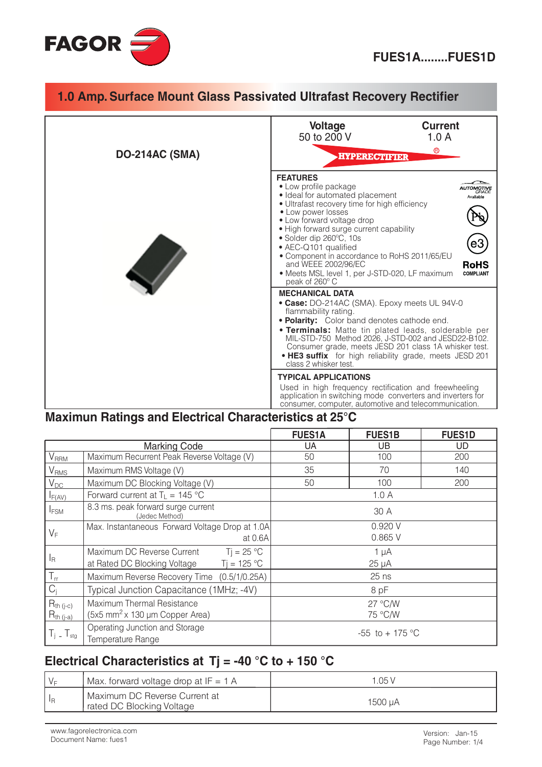

#### 1.0 Amp. Surface Mount Glass Passivated Ultrafast Recovery Rectifier **Current Voltage** 50 to 200 V  $1.0A$  $^{\circ}$ **DO-214AC (SMA) HYPERECTIFIER FEATURES** • Low profile package **AUTOMOTIVE** · Ideal for automated placement Available · Ultrafast recovery time for high efficiency • Low power losses • Low forward voltage drop · High forward surge current capability · Solder dip 260°C, 10s • AEC-Q101 qualified • Component in accordance to RoHS 2011/65/EU and WEEE 2002/96/EC **RoHS** · Meets MSL level 1, per J-STD-020, LF maximum **COMPLIANT** peak of 260°C **MECHANICAL DATA** • Case: DO-214AC (SMA). Epoxy meets UL 94V-0 flammability rating. • Polarity: Color band denotes cathode end. **· Terminals:** Matte tin plated leads, solderable per MIL-STD-750 Method 2026, J-STD-002 and JESD22-B102.<br>Consumer grade, meets JESD 201 class 1A whisker test. . HE3 suffix for high reliability grade, meets JESD 201 class 2 whisker test. **TYPICAL APPLICATIONS** Used in high frequency rectification and freewheeling application in switching mode converters and inverters for consumer, computer, automotive and telecommunication.

## Maximun Ratings and Electrical Characteristics at 25°C

|                                  |                                                                                             | <b>FUES1A</b>           | <b>FUES1B</b>      | <b>FUES1D</b> |
|----------------------------------|---------------------------------------------------------------------------------------------|-------------------------|--------------------|---------------|
| <b>Marking Code</b>              |                                                                                             | UA                      | UB                 | UD            |
| $\mathsf{V}_\mathsf{RRM}$        | Maximum Recurrent Peak Reverse Voltage (V)                                                  | 50                      | 100                | 200           |
| V <sub>RMS</sub>                 | Maximum RMS Voltage (V)                                                                     | 35                      | 70                 | 140           |
| $V_{DC}$                         | Maximum DC Blocking Voltage (V)                                                             | 50                      | 100                | 200           |
| $I_{F(AV)}$                      | Forward current at $T_L = 145 \text{ °C}$                                                   | 1.0A                    |                    |               |
| <b>IFSM</b>                      | 8.3 ms. peak forward surge current<br>(Jedec Method)                                        | 30 A                    |                    |               |
| $V_F$                            | Max. Instantaneous Forward Voltage Drop at 1.0A<br>at 0.6A                                  | 0.920V<br>0.865 V       |                    |               |
| $I_{\mathsf{R}}$                 | Maximum DC Reverse Current<br>$Ti = 25 °C$<br>$Ti = 125 °C$<br>at Rated DC Blocking Voltage | $1 \mu A$<br>$25 \mu A$ |                    |               |
| $T_{rr}$                         | Maximum Reverse Recovery Time (0.5/1/0.25A)                                                 | $25$ ns                 |                    |               |
| $C_i$                            | Typical Junction Capacitance (1MHz; -4V)                                                    | 8 pF                    |                    |               |
| $R_{th (j-c)}$<br>$R_{th (j-a)}$ | Maximum Thermal Resistance<br>(5x5 mm <sup>2</sup> x 130 µm Copper Area)                    |                         | 27 °C/W<br>75 °C/W |               |
| $T_i$ _ $T_{sta}$                | Operating Junction and Storage<br>Temperature Range                                         | -55 to + 175 °C         |                    |               |

## Electrical Characteristics at Ti = -40 °C to + 150 °C

| Max. forward voltage drop at $IF = 1$ A                    | 1.05 V  |
|------------------------------------------------------------|---------|
| Maximum DC Reverse Current at<br>rated DC Blocking Voltage | 1500 uA |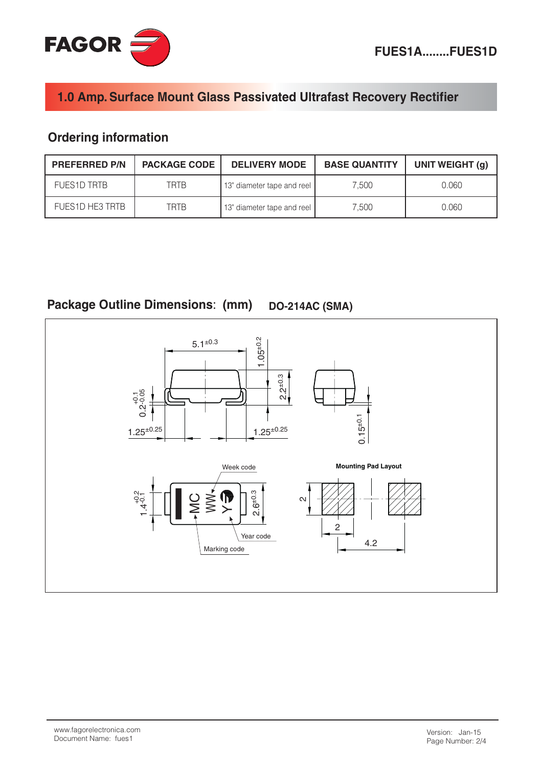

# 1.0 Amp. Surface Mount Glass Passivated Ultrafast Recovery Rectifier

# **Ordering information**

| <b>PREFERRED P/N</b> | <b>PACKAGE CODE</b> | <b>DELIVERY MODE</b>       | <b>BASE QUANTITY</b> | UNIT WEIGHT (g) |
|----------------------|---------------------|----------------------------|----------------------|-----------------|
| <b>FUES1D TRTB</b>   | TRTB                | 13" diameter tape and reel | 7.500                | 0.060           |
| FUES1D HE3 TRTB      | TRTB                | 13" diameter tape and reel | 7.500                | 0.060           |

Package Outline Dimensions: (mm) **DO-214AC (SMA)** 

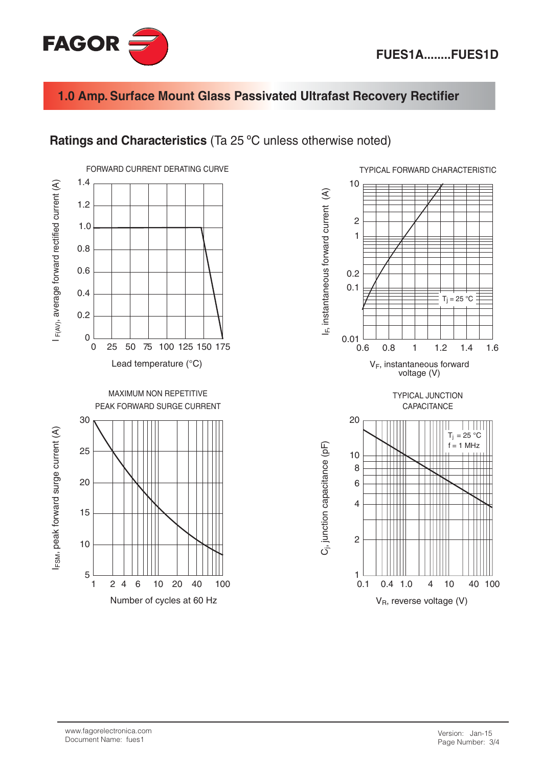



#### 1.0 Amp. Surface Mount Glass Passivated Ultrafast Recovery Rectifier

#### Ratings and Characteristics (Ta 25 °C unless otherwise noted)